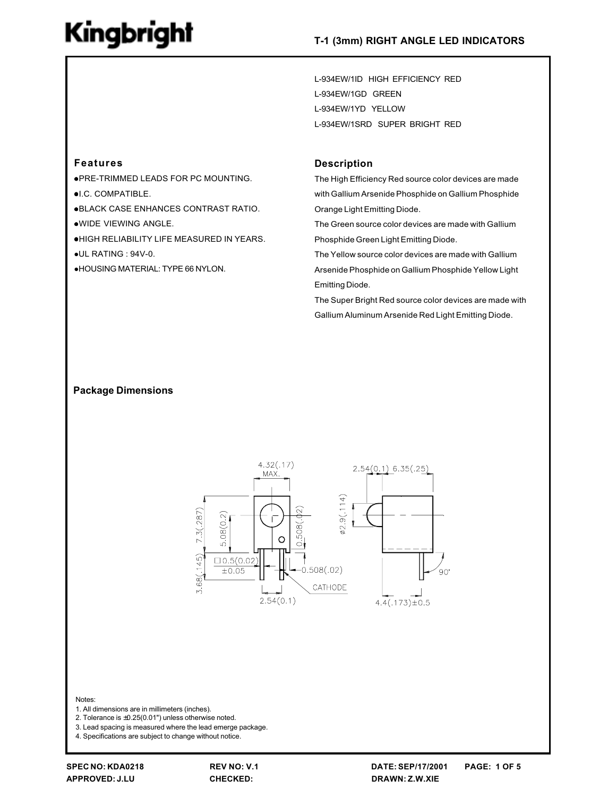L-934EW/1ID HIGH EFFICIENCY RED L-934EW/1GD GREEN L-934EW/1YD YELLOW L-934EW/1SRD SUPER BRIGHT RED

### **Features**

. PRE-TRIMMED LEADS FOR PC MOUNTING. **.I.C. COMPATIBLE. .BLACK CASE ENHANCES CONTRAST RATIO.** .WIDE VIEWING ANGLE. **.HIGH RELIABILITY LIFE MEASURED IN YEARS.**  $\bullet$ UL RATING: 94V-0.

**.HOUSING MATERIAL: TYPE 66 NYLON.** 

#### **Description**

The High Efficiency Red source color devices are made with Gallium Arsenide Phosphide on Gallium Phosphide Orange Light Emitting Diode.

The Green source color devices are made with Gallium Phosphide Green Light Emitting Diode.

The Yellow source color devices are made with Gallium Arsenide Phosphide on Gallium Phosphide Yellow Light Emitting Diode.

The Super Bright Red source color devices are made with Gallium Aluminum Arsenide Red Light Emitting Diode.

#### **Package Dimensions**



#### Notes:

- 1. All dimensions are in millimeters (inches).
- 2. Tolerance is  $\pm 0.25(0.01")$  unless otherwise noted.

3. Lead spacing is measured where the lead emerge package.

4. Specifications are subject to change without notice.

REV NO: V.1 **CHECKED:**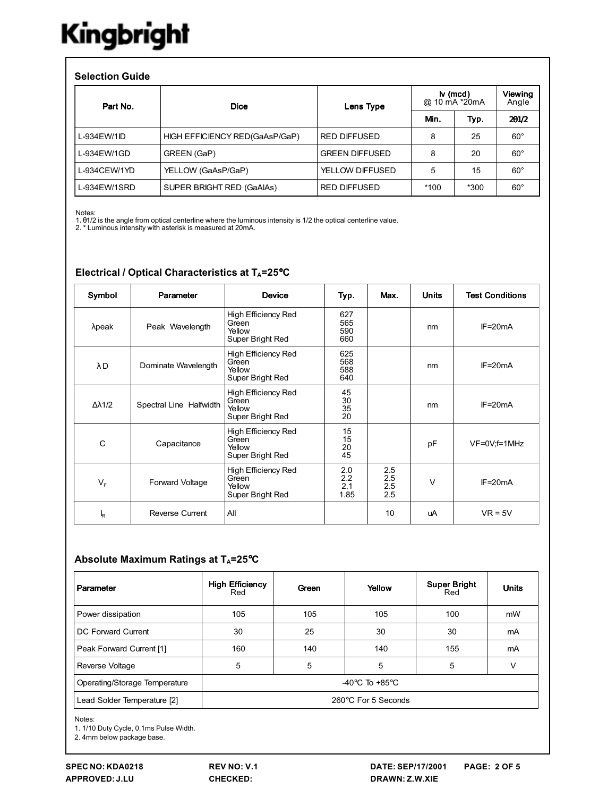#### **Selection Guide**

| Part No.       | <b>Dice</b>                    | Lens Type              | $\mathsf{iv}$ (mcd)<br>@ 10 mA *20mA |        | Viewing<br>Angle |
|----------------|--------------------------------|------------------------|--------------------------------------|--------|------------------|
|                |                                |                        | Min.                                 | Typ.   | 201/2            |
| $L-934$ EW/1ID | HIGH EFFICIENCY RED(GaAsP/GaP) | <b>RED DIFFUSED</b>    | 8                                    | 25     | $60^{\circ}$     |
| L-934EW/1GD    | GREEN (GaP)                    | <b>GREEN DIFFUSED</b>  | 8                                    | 20     | $60^{\circ}$     |
| L-934CEW/1YD   | YELLOW (GaAsP/GaP)             | <b>YELLOW DIFFUSED</b> | 5                                    | 15     | $60^{\circ}$     |
| L-934EW/1SRD   | SUPER BRIGHT RED (GaAIAs)      | <b>RED DIFFUSED</b>    | $*100$                               | $*300$ | $60^{\circ}$     |

Notes:

Nuces.<br>1. 01/2 is the angle from optical centerline where the luminous intensity is 1/2 the optical centerline value.<br>2. \* Luminous intensity with asterisk is measured at 20mA.

| Symbol         | Parameter               | <b>Device</b>                                                     | Typ.                      | Max.                     | <b>Units</b> | <b>Test Conditions</b> |
|----------------|-------------------------|-------------------------------------------------------------------|---------------------------|--------------------------|--------------|------------------------|
| $\lambda$ peak | Peak Wavelength         | High Efficiency Red<br>Green<br>Yellow<br>Super Bright Red        | 627<br>565<br>590<br>660  |                          | nm           | $IF = 20mA$            |
| λD             | Dominate Wavelength     | <b>High Efficiency Red</b><br>Green<br>Yellow<br>Super Bright Red | 625<br>568<br>588<br>640  |                          | nm           | $IF = 20mA$            |
| Δλ1/2          | Spectral Line Halfwidth | High Efficiency Red<br>Green<br>Yellow<br>Super Bright Red        | 45<br>30<br>35<br>20      |                          | nm           | $IF = 20mA$            |
| C              | Capacitance             | High Efficiency Red<br>Green<br>Yellow<br>Super Bright Red        | 15<br>15<br>20<br>45      |                          | pF           | VF=0V;f=1MHz           |
| $V_{F}$        | Forward Voltage         | High Efficiency Red<br>Green<br>Yellow<br>Super Bright Red        | 2.0<br>2.2<br>2.1<br>1.85 | 2.5<br>2.5<br>2.5<br>2.5 | $\vee$       | $IF = 20mA$            |
| k              | <b>Reverse Current</b>  | All                                                               |                           | 10                       | uA           | $VR = 5V$              |

### Electrical / Optical Characteristics at TA=25°C

#### Absolute Maximum Ratings at TA=25°C

| Parameter                     | <b>High Efficiency</b><br>Red      | Green | Yellow | <b>Super Bright</b><br>Red | <b>Units</b> |  |
|-------------------------------|------------------------------------|-------|--------|----------------------------|--------------|--|
| Power dissipation             | 105                                | 105   | 105    | 100                        | mW           |  |
| DC Forward Current            | 30                                 | 25    | 30     | 30                         | mA           |  |
| Peak Forward Current [1]      | 160                                | 140   | 140    | 155                        | mA           |  |
| Reverse Voltage               | 5                                  | 5     | 5      | 5                          | ٧            |  |
| Operating/Storage Temperature | -40 $\degree$ C To +85 $\degree$ C |       |        |                            |              |  |
| Lead Solder Temperature [2]   | 260°C For 5 Seconds                |       |        |                            |              |  |

Notes:

1. 1/10 Duty Cycle, 0.1ms Pulse Width.

2. 4mm below package base.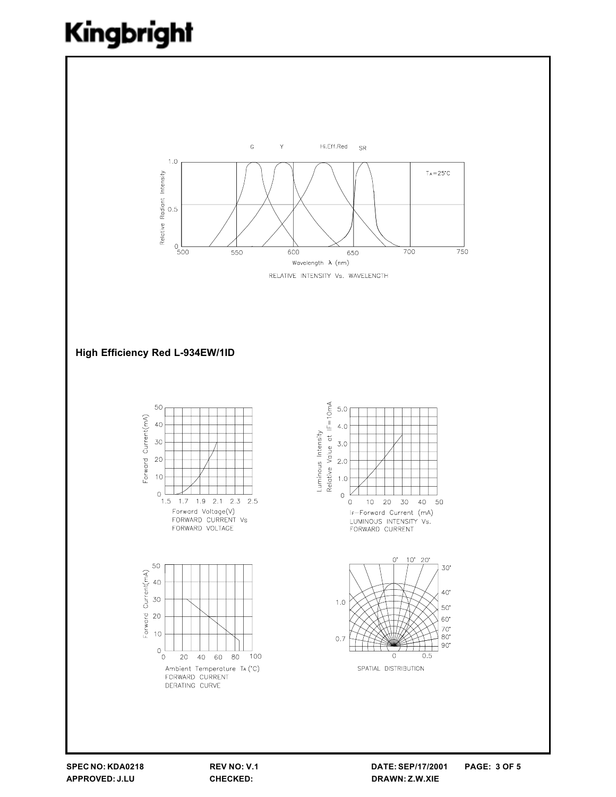

REV NO: V.1 CHECKED: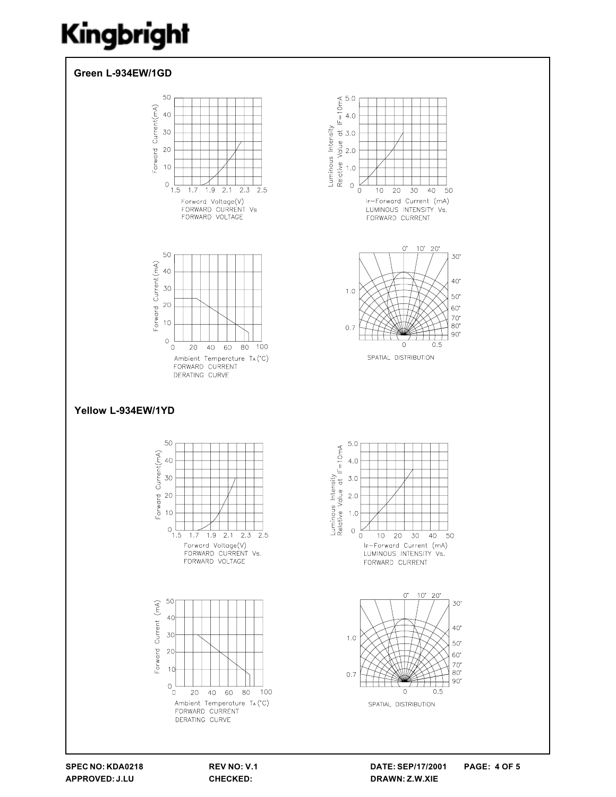

SPEC NO: KDA0218 APPROVED: J.LU

REV NO: V.1 CHECKED:

DATE: SEP/17/2001 **PAGE: 4 OF 5** DRAWN: Z.W.XIE